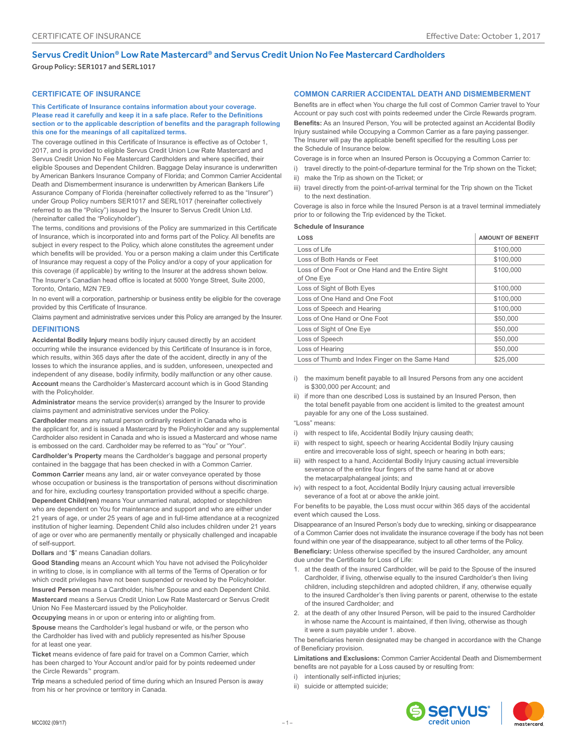# Servus Credit Union® Low Rate Mastercard® and Servus Credit Union No Fee Mastercard Cardholders

Group Policy: SER1017 and SERL1017

### **CERTIFICATE OF INSURANCE**

**This Certificate of Insurance contains information about your coverage. Please read it carefully and keep it in a safe place. Refer to the Definitions section or to the applicable description of benefits and the paragraph following this one for the meanings of all capitalized terms.**

The coverage outlined in this Certificate of Insurance is effective as of October 1, 2017, and is provided to eligible Servus Credit Union Low Rate Mastercard and Servus Credit Union No Fee Mastercard Cardholders and where specified, their eligible Spouses and Dependent Children. Baggage Delay insurance is underwritten by American Bankers Insurance Company of Florida; and Common Carrier Accidental Death and Dismemberment insurance is underwritten by American Bankers Life Assurance Company of Florida (hereinafter collectively referred to as the "Insurer") under Group Policy numbers SER1017 and SERL1017 (hereinafter collectively referred to as the "Policy") issued by the Insurer to Servus Credit Union Ltd. (hereinafter called the "Policyholder").

The terms, conditions and provisions of the Policy are summarized in this Certificate of Insurance, which is incorporated into and forms part of the Policy. All benefits are subject in every respect to the Policy, which alone constitutes the agreement under which benefits will be provided. You or a person making a claim under this Certificate of Insurance may request a copy of the Policy and/or a copy of your application for this coverage (if applicable) by writing to the Insurer at the address shown below. The Insurer's Canadian head office is located at 5000 Yonge Street, Suite 2000, Toronto, Ontario, M2N 7E9.

In no event will a corporation, partnership or business entity be eligible for the coverage provided by this Certificate of Insurance.

Claims payment and administrative services under this Policy are arranged by the Insurer.

## **DEFINITIONS**

**Accidental Bodily Injury** means bodily injury caused directly by an accident occurring while the insurance evidenced by this Certificate of Insurance is in force, which results, within 365 days after the date of the accident, directly in any of the losses to which the insurance applies, and is sudden, unforeseen, unexpected and independent of any disease, bodily infirmity, bodily malfunction or any other cause. **Account** means the Cardholder's Mastercard account which is in Good Standing with the Policyholder.

**Administrator** means the service provider(s) arranged by the Insurer to provide claims payment and administrative services under the Policy.

**Cardholder** means any natural person ordinarily resident in Canada who is the applicant for, and is issued a Mastercard by the Policyholder and any supplemental Cardholder also resident in Canada and who is issued a Mastercard and whose name is embossed on the card. Cardholder may be referred to as "You" or "Your".

**Cardholder's Property** means the Cardholder's baggage and personal property contained in the baggage that has been checked in with a Common Carrier.

**Common Carrier** means any land, air or water conveyance operated by those whose occupation or business is the transportation of persons without discrimination and for hire, excluding courtesy transportation provided without a specific charge. **Dependent Child(ren)** means Your unmarried natural, adopted or stepchildren who are dependent on You for maintenance and support and who are either under 21 years of age, or under 25 years of age and in full-time attendance at a recognized

institution of higher learning. Dependent Child also includes children under 21 years of age or over who are permanently mentally or physically challenged and incapable of self-support.

#### **Dollars** and "**\$**" means Canadian dollars.

**Good Standing** means an Account which You have not advised the Policyholder in writing to close, is in compliance with all terms of the Terms of Operation or for which credit privileges have not been suspended or revoked by the Policyholder.

**Insured Person** means a Cardholder, his/her Spouse and each Dependent Child. **Mastercard** means a Servus Credit Union Low Rate Mastercard or Servus Credit Union No Fee Mastercard issued by the Policyholder.

**Occupying** means in or upon or entering into or alighting from.

**Spouse** means the Cardholder's legal husband or wife, or the person who the Cardholder has lived with and publicly represented as his/her Spouse for at least one year.

**Ticket** means evidence of fare paid for travel on a Common Carrier, which has been charged to Your Account and/or paid for by points redeemed under the Circle Rewards™ program.

**Trip** means a scheduled period of time during which an Insured Person is away from his or her province or territory in Canada.

#### **COMMON CARRIER ACCIDENTAL DEATH AND DISMEMBERMENT**

Benefits are in effect when You charge the full cost of Common Carrier travel to Your Account or pay such cost with points redeemed under the Circle Rewards program. **Benefits:** As an Insured Person, You will be protected against an Accidental Bodily Injury sustained while Occupying a Common Carrier as a fare paying passenger. The Insurer will pay the applicable benefit specified for the resulting Loss per the Schedule of Insurance below.

Coverage is in force when an Insured Person is Occupying a Common Carrier to:

- i) travel directly to the point-of-departure terminal for the Trip shown on the Ticket;
- ii) make the Trip as shown on the Ticket; or
- iii) travel directly from the point-of-arrival terminal for the Trip shown on the Ticket to the next destination.

Coverage is also in force while the Insured Person is at a travel terminal immediately prior to or following the Trip evidenced by the Ticket.

#### **Schedule of Insurance**

| LOSS                                                            | <b>AMOUNT OF BENEFIT</b> |
|-----------------------------------------------------------------|--------------------------|
| Loss of Life                                                    | \$100,000                |
| Loss of Both Hands or Feet                                      | \$100,000                |
| Loss of One Foot or One Hand and the Entire Sight<br>of One Eye | \$100,000                |
| Loss of Sight of Both Eyes                                      | \$100,000                |
| Loss of One Hand and One Foot                                   | \$100,000                |
| Loss of Speech and Hearing                                      | \$100,000                |
| Loss of One Hand or One Foot                                    | \$50,000                 |
| Loss of Sight of One Eye                                        | \$50,000                 |
| Loss of Speech                                                  | \$50,000                 |
| Loss of Hearing                                                 | \$50,000                 |
| Loss of Thumb and Index Finger on the Same Hand                 | \$25,000                 |

- i) the maximum benefit payable to all Insured Persons from any one accident is \$300,000 per Account; and
- ii) if more than one described Loss is sustained by an Insured Person, then the total benefit payable from one accident is limited to the greatest amount payable for any one of the Loss sustained.
- "Loss" means:
- i) with respect to life, Accidental Bodily Injury causing death;
- ii) with respect to sight, speech or hearing Accidental Bodily Injury causing entire and irrecoverable loss of sight, speech or hearing in both ears;
- iii) with respect to a hand, Accidental Bodily Injury causing actual irreversible severance of the entire four fingers of the same hand at or above the metacarpalphalangeal joints; and
- iv) with respect to a foot, Accidental Bodily Injury causing actual irreversible severance of a foot at or above the ankle joint.

For benefits to be payable, the Loss must occur within 365 days of the accidental event which caused the Loss.

Disappearance of an Insured Person's body due to wrecking, sinking or disappearance of a Common Carrier does not invalidate the insurance coverage if the body has not been found within one year of the disappearance, subject to all other terms of the Policy.

**Beneficiary:** Unless otherwise specified by the insured Cardholder, any amount due under the Certificate for Loss of Life:

- 1. at the death of the insured Cardholder, will be paid to the Spouse of the insured Cardholder, if living, otherwise equally to the insured Cardholder's then living children, including stepchildren and adopted children, if any, otherwise equally to the insured Cardholder's then living parents or parent, otherwise to the estate of the insured Cardholder; and
- 2. at the death of any other Insured Person, will be paid to the insured Cardholder in whose name the Account is maintained, if then living, otherwise as though it were a sum payable under 1. above.

The beneficiaries herein designated may be changed in accordance with the Change of Beneficiary provision.

**Limitations and Exclusions:** Common Carrier Accidental Death and Dismemberment benefits are not payable for a Loss caused by or resulting from:

- i) intentionally self-inflicted injuries;
- ii) suicide or attempted suicide;